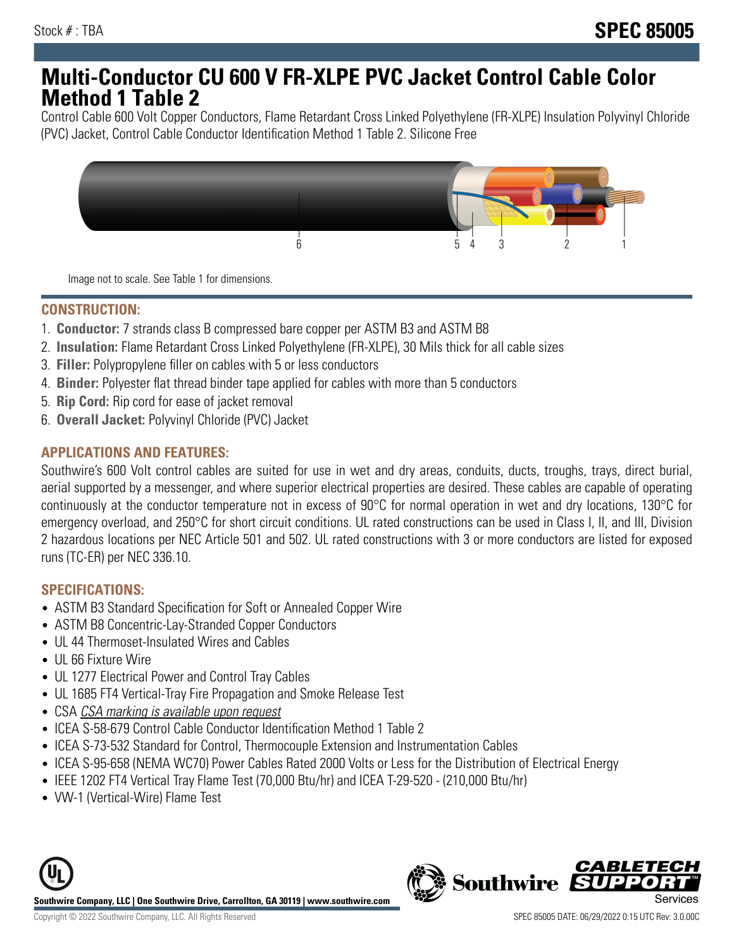## **Multi-Conductor CU 600 V FR-XLPE PVC Jacket Control Cable Color Method 1 Table 2**

Control Cable 600 Volt Copper Conductors, Flame Retardant Cross Linked Polyethylene (FR-XLPE) Insulation Polyvinyl Chloride (PVC) Jacket, Control Cable Conductor Identification Method 1 Table 2. Silicone Free



Image not to scale. See Table 1 for dimensions.

## **CONSTRUCTION:**

- 1. **Conductor:** 7 strands class B compressed bare copper per ASTM B3 and ASTM B8
- 2. **Insulation:** Flame Retardant Cross Linked Polyethylene (FR-XLPE), 30 Mils thick for all cable sizes
- 3. **Filler:** Polypropylene filler on cables with 5 or less conductors
- 4. **Binder:** Polyester flat thread binder tape applied for cables with more than 5 conductors
- 5. **Rip Cord:** Rip cord for ease of jacket removal
- 6. **Overall Jacket:** Polyvinyl Chloride (PVC) Jacket

#### **APPLICATIONS AND FEATURES:**

Southwire's 600 Volt control cables are suited for use in wet and dry areas, conduits, ducts, troughs, trays, direct burial, aerial supported by a messenger, and where superior electrical properties are desired. These cables are capable of operating continuously at the conductor temperature not in excess of 90°C for normal operation in wet and dry locations, 130°C for emergency overload, and 250°C for short circuit conditions. UL rated constructions can be used in Class I, II, and III, Division 2 hazardous locations per NEC Article 501 and 502. UL rated constructions with 3 or more conductors are listed for exposed runs (TC-ER) per NEC 336.10.

#### **SPECIFICATIONS:**

- ASTM B3 Standard Specification for Soft or Annealed Copper Wire
- ASTM B8 Concentric-Lay-Stranded Copper Conductors
- UL 44 Thermoset-Insulated Wires and Cables
- UL 66 Fixture Wire
- UL 1277 Electrical Power and Control Tray Cables
- UL 1685 FT4 Vertical-Tray Fire Propagation and Smoke Release Test
- CSA CSA marking is available upon request
- ICEA S-58-679 Control Cable Conductor Identification Method 1 Table 2
- ICEA S-73-532 Standard for Control, Thermocouple Extension and Instrumentation Cables
- ICEA S-95-658 (NEMA WC70) Power Cables Rated 2000 Volts or Less for the Distribution of Electrical Energy
- IEEE 1202 FT4 Vertical Tray Flame Test (70,000 Btu/hr) and ICEA T-29-520 (210,000 Btu/hr)
- VW-1 (Vertical-Wire) Flame Test



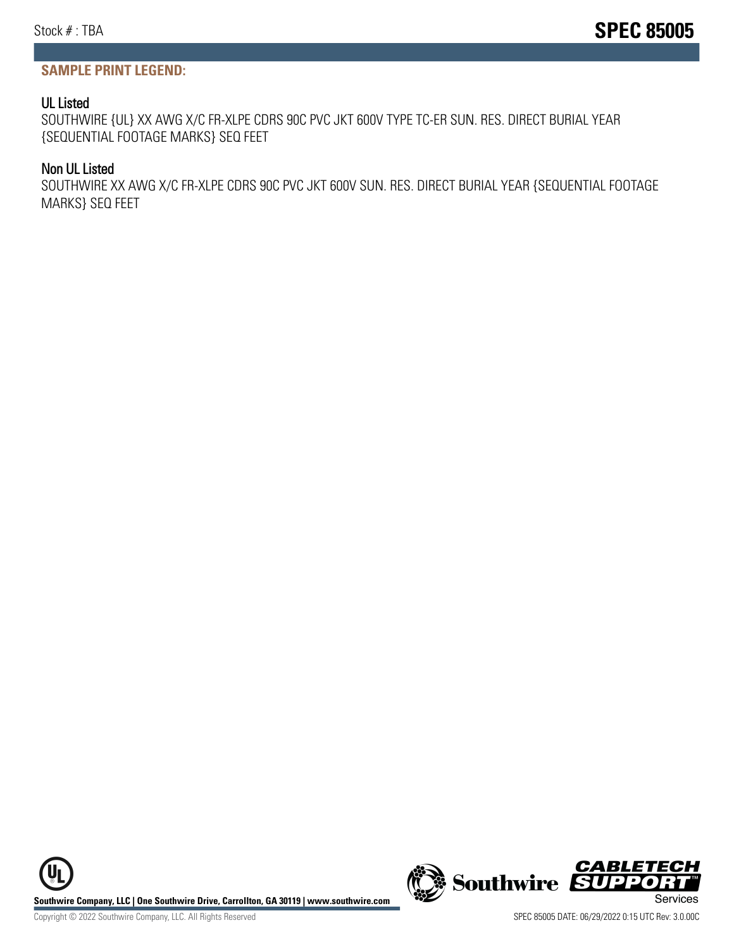#### **SAMPLE PRINT LEGEND:**

#### UL Listed

SOUTHWIRE {UL} XX AWG X/C FR-XLPE CDRS 90C PVC JKT 600V TYPE TC-ER SUN. RES. DIRECT BURIAL YEAR {SEQUENTIAL FOOTAGE MARKS} SEQ FEET

#### Non UL Listed

SOUTHWIRE XX AWG X/C FR-XLPE CDRS 90C PVC JKT 600V SUN. RES. DIRECT BURIAL YEAR {SEQUENTIAL FOOTAGE MARKS} SEQ FEET

**Southwire Company, LLC | One Southwire Drive, Carrollton, GA 30119 | www.southwire.com (New Southwire SUPPORTINGLY)**